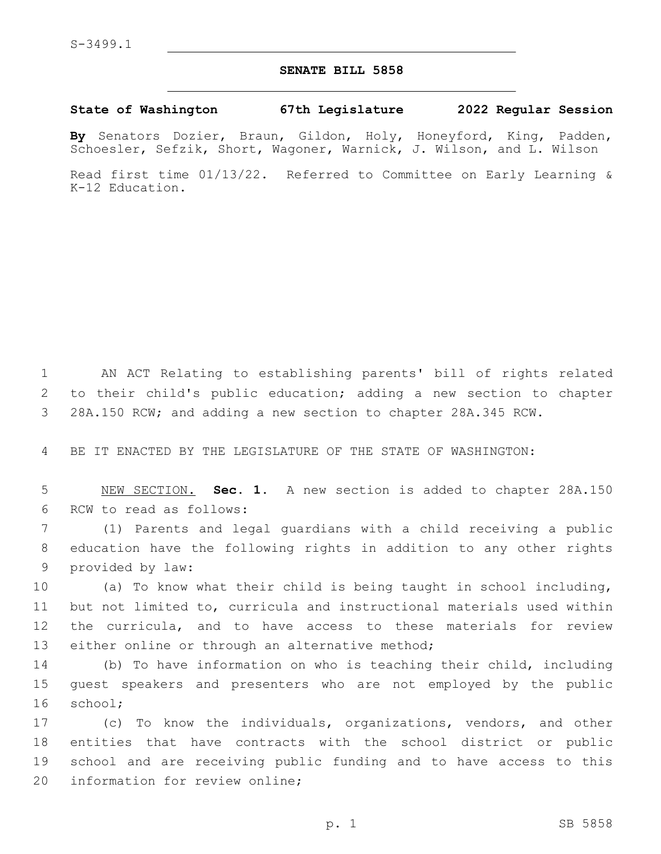## **SENATE BILL 5858**

## **State of Washington 67th Legislature 2022 Regular Session**

**By** Senators Dozier, Braun, Gildon, Holy, Honeyford, King, Padden, Schoesler, Sefzik, Short, Wagoner, Warnick, J. Wilson, and L. Wilson

Read first time 01/13/22. Referred to Committee on Early Learning & K-12 Education.

1 AN ACT Relating to establishing parents' bill of rights related 2 to their child's public education; adding a new section to chapter 3 28A.150 RCW; and adding a new section to chapter 28A.345 RCW.

4 BE IT ENACTED BY THE LEGISLATURE OF THE STATE OF WASHINGTON:

5 NEW SECTION. **Sec. 1.** A new section is added to chapter 28A.150 6 RCW to read as follows:

7 (1) Parents and legal guardians with a child receiving a public 8 education have the following rights in addition to any other rights 9 provided by law:

 (a) To know what their child is being taught in school including, but not limited to, curricula and instructional materials used within the curricula, and to have access to these materials for review 13 either online or through an alternative method;

14 (b) To have information on who is teaching their child, including 15 guest speakers and presenters who are not employed by the public 16 school;

 (c) To know the individuals, organizations, vendors, and other entities that have contracts with the school district or public school and are receiving public funding and to have access to this 20 information for review online;